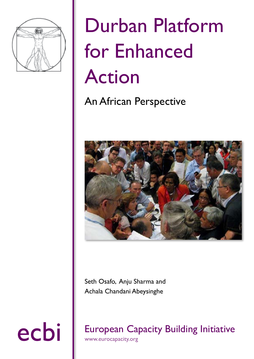

# Durban Platform for Enhanced Action

### An African Perspective



Seth Osafo, Anju Sharma and

Achala Chandani Abeysinghe

ecbi European Capacity Building Initiative

www.eurocapacity.org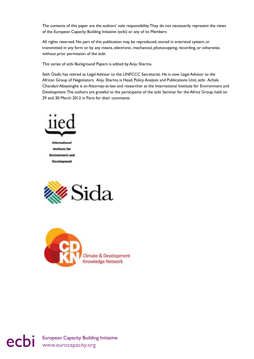The contents of this paper are the authors' sole responsibility. They do not necessarily represent the views of the European Capacity Building Initiative (ecbi) or any of its Members

All rights reserved. No part of this publication may be reproduced, stored in aretrieval system, or transmitted in any form or by any means, electronic, mechanical, photocopying, recording, or otherwise, without prior permission of the ecbi.

This series of ecbi Background Papers is edited by Anju Sharma.

Seth Osafo has retired as Legal Advisor to the UNFCCC Secretariat. He is now Legal Advisor to the African Group of Negotiators. Anju Sharma is Head, Policy Analysis and Publications Unit, ecbi. Achala Chandani Abeysinghe is an Attorney-at-law and researcher at the International Institute for Environment and Development. The authors are grateful to the participants of the ecbi Seminar for the Africa Group, held on 29 and 30 March 2012 in Paris for their comments.







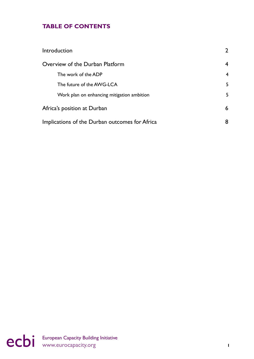#### **TABLE OF CONTENTS**

| Introduction                                   | $\overline{2}$           |
|------------------------------------------------|--------------------------|
| Overview of the Durban Platform                |                          |
| The work of the ADP                            | $\overline{\mathcal{A}}$ |
| The future of the AWG-LCA                      | 5                        |
| Work plan on enhancing mitigation ambition     | 5                        |
| Africa's position at Durban                    | 6                        |
| Implications of the Durban outcomes for Africa |                          |

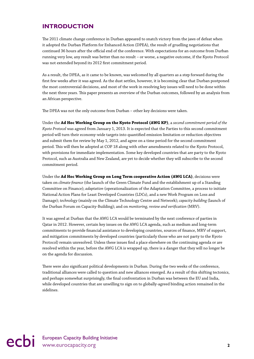#### <span id="page-3-0"></span>**Introduction**

The 2011 climate change conference in Durban appeared to snatch victory from the jaws of defeat when it adopted the Durban Platform for Enhanced Action (DPEA), the result of gruelling negotiations that continued 36 hours after the official end of the conference. With expectations for an outcome from Durban running very low, any result was better than no result – or worse, a negative outcome, if the Kyoto Protocol was not extended beyond its 2012 first commitment period.

As a result, the DPEA, as it came to be known, was welcomed by all quarters as a step forward during the first few weeks after it was agreed. As the dust settles, however, it is becoming clear that Durban postponed the most controversial decisions, and most of the work in resolving key issues will need to be done within the next three years. This paper presents an overview of the Durban outcomes, followed by an analysis from an African perspective.

The DPEA was not the only outcome from Durban – other key decisions were taken.

Under the **Ad Hoc Working Group on the Kyoto Protocol (AWG KP)**, a *second commitment period of the Kyoto Protocol* was agreed from January 1, 2013. It is expected that the Parties to this second commitment period will turn their economy-wide targets into quantified emission limitation or reduction objectives and submit them for review by May 1, 2012, and agree on a time period for the second commitment period. This will then be adopted at COP 18 along with other amendments related to the Kyoto Protocol, with provisions for immediate implementation. Some key developed countries that are party to the Kyoto Protocol, such as Australia and New Zealand, are yet to decide whether they will subscribe to the second commitment period.

Under the **Ad Hoc Working Group on Long Term cooperative Action (AWG LCA)**, decisions were taken on *climate finance* (the launch of the Green Climate Fund and the establishment up of a Standing Committee on Finance); *adaptation* (operationalization of the Adaptation Committee, a process to initiate National Action Plans for Least Developed Countries (LDCs), and a new Work Program on Loss and Damage); *technology* (mainly on the Climate Technology Centre and Network); *capacity building* (launch of the Durban Forum on Capacity-Building); and on *monitoring, review and verification* (MRV).

It was agreed at Durban that the AWG LCA would be terminated by the next conference of parties in Qatar in 2012. However, certain key issues on the AWG LCA agenda, such as medium and long-term commitments to provide financial assistance to developing countries, sources of finance, MRV of support, and mitigation commitments by developed countries (particularly those who are not party to the Kyoto Protocol) remain unresolved. Unless these issues find a place elsewhere on the continuing agenda or are resolved within the year, before the AWG LCA is wrapped up, there is a danger that they will no longer be on the agenda for discussion.

There were also significant political developments in Durban. During the two weeks of the conference, traditional alliances were called to question and new alliances emerged. As a result of this shifting tectonics, and perhaps somewhat surprisingly, the final confrontation in Durban was between the EU and India, while developed countries that are unwilling to sign on to globally-agreed binding action remained in the sidelines.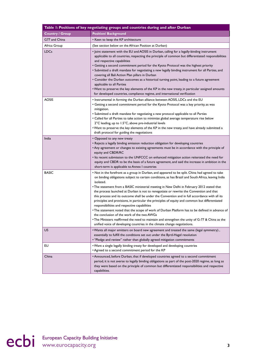| Table I: Positions of key negotiating groups and countries during and after Durban |                                                                                                                                                                                                                                                                                                                                                                                                                                                                                                                                                                                                                                                                                                                                                                                                                                                                                                                                                                                                    |  |
|------------------------------------------------------------------------------------|----------------------------------------------------------------------------------------------------------------------------------------------------------------------------------------------------------------------------------------------------------------------------------------------------------------------------------------------------------------------------------------------------------------------------------------------------------------------------------------------------------------------------------------------------------------------------------------------------------------------------------------------------------------------------------------------------------------------------------------------------------------------------------------------------------------------------------------------------------------------------------------------------------------------------------------------------------------------------------------------------|--|
| <b>Country / Group</b>                                                             | <b>Position/ Background</b>                                                                                                                                                                                                                                                                                                                                                                                                                                                                                                                                                                                                                                                                                                                                                                                                                                                                                                                                                                        |  |
| G77 and China                                                                      | • Keen to keep the KP architecture                                                                                                                                                                                                                                                                                                                                                                                                                                                                                                                                                                                                                                                                                                                                                                                                                                                                                                                                                                 |  |
| Africa Group                                                                       | (See section below on the African Position at Durban)                                                                                                                                                                                                                                                                                                                                                                                                                                                                                                                                                                                                                                                                                                                                                                                                                                                                                                                                              |  |
| <b>LDCs</b>                                                                        | • Joint statement with the EU and AOSIS in Durban, calling for a legally-binding instrument<br>applicable to all countries, respecting the principle of common but differentiated responsibilities<br>and respective capabilities<br>• Getting a second commitment period for the Kyoto Protocol was the highest priority<br>• Submitted a draft mandate for negotiating a new legally binding instrument for all Parties, and<br>covering all Bali Action Plan pillars in Durban<br>• Consider the Durban outcomes as a historical turning point, leading to a future agreement<br>applicable to all Parties<br>. Want to preserve the key elements of the KP in the new treaty, in particular assigned amounts<br>for developed countries, compliance regime, and international verification                                                                                                                                                                                                     |  |
| AOSIS                                                                              | . Instrumental in forming the Durban alliance between AOSIS, LDCs and the EU<br>• Getting a second commitment period for the Kyoto Protocol was a key priority, as was<br>mitigation.<br>• Submitted a draft mandate for negotiating a new protocol applicable to all Parties<br>• Called for all Parties to take action to minimize global average temperature rise below<br>2°C leading, up to 1.5°C, above pre-industrial levels<br>. Want to preserve the key elements of the KP in the new treaty, and have already submitted a<br>draft protocol for guiding the negotiations                                                                                                                                                                                                                                                                                                                                                                                                                |  |
| India                                                                              | • Opposed to any new treaty<br>• Rejects a legally binding emission reduction obligation for developing countries<br>• Any agreement or changes to existing agreements must be in accordance with the principle of<br>equity and CBDR/RC<br>• Its recent submission to the UNFCCC on enhanced mitigation action reiterated the need for<br>equity and CBDR to be the basis of a future agreement, and said the increase in ambition in the<br>short-term is applicable to Annex I countries                                                                                                                                                                                                                                                                                                                                                                                                                                                                                                        |  |
| <b>BASIC</b>                                                                       | • Not in the forefront as a group in Durban, and appeared to be split. China had agreed to take<br>on binding obligations subject to certain conditions, as has Brazil and South Africa, leaving India<br>isolated.<br>• The statement from a BASIC ministerial meeting in New Delhi in February 2012 stated that<br>the process launched at Durban is not to renegotiate or rewrite the Convention and that<br>this process and its outcome shall be under the Convention and in full accordance with all its<br>principles and provisions, in particular the principles of equity and common but differentiated<br>responsibilities and respective capabilities<br>• The statement noted that the scope of work of Durban Platform has to be defined in advance of<br>the conclusion of the work of the two AWGs<br>. The Ministers reaffirmed the need to maintain and strengthen the unity of G-77 & China as the<br>unified voice of developing countries in the climate change negotiations. |  |
| US.                                                                                | • Wants all major emitters on board new agreement and treated the same (legal symmetry),<br>essentially to fulfill the conditions set out under the Byrd-Hagel resolution<br>• "Pledge and review" rather than globally agreed mitigation commitments                                                                                                                                                                                                                                                                                                                                                                                                                                                                                                                                                                                                                                                                                                                                              |  |
| EU                                                                                 | . Want a single legally binding treaty for developed and developing countries<br>• Agreed to a second commitment period for the KP                                                                                                                                                                                                                                                                                                                                                                                                                                                                                                                                                                                                                                                                                                                                                                                                                                                                 |  |
| China                                                                              | • Announced, before Durban, that if developed countries agreed to a second commitment<br>period, it is not averse to legally binding obligations as part of the post-2020 regime, as long as<br>they were based on the principle of common but differentiated responsibilities and respective<br>capabilities.                                                                                                                                                                                                                                                                                                                                                                                                                                                                                                                                                                                                                                                                                     |  |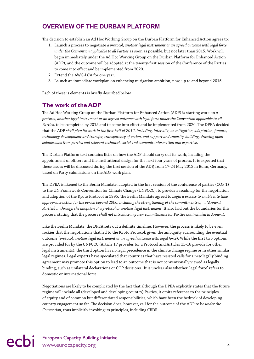#### <span id="page-5-0"></span>**Overview of the Durban Platform**

The decision to establish an Ad Hoc Working Group on the Durban Platform for Enhanced Action agrees to:

- 1. Launch a process to negotiate *a protocol, another legal instrument or an agreed outcome with legal force under the Convention applicable to all Parties* as soon as possible, but not later than 2015. Work will begin immediately under the Ad Hoc Working Group on the Durban Platform for Enhanced Action (ADP), and the outcome will be adopted at the twenty-first session of the Conference of the Parties, to come into effect and be implemented from 2020.
- 2. Extend the AWG-LCA for one year.
- 3. Launch an immediate workplan on enhancing mitigation ambition, now, up to and beyond 2015.

Each of these is elements is briefly described below.

#### **The work of the ADP**

The Ad Hoc Working Group on the Durban Platform for Enhanced Action (ADP) is starting work on *a protocol, another legal instrument or an agreed outcome with legal force under the Convention applicable to all Parties*, to be completed by 2015 and to come into effect and be implemented from 2020. The DPEA decided that the ADP *shall plan its work in the first half of 2012, including, inter alia, on mitigation, adaptation, finance, technology development and transfer, transparency of action, and support and capacity-building, drawing upon submissions from parties and relevant technical, social and economic information and expertise*.

The Durban Platform text contains little on how the ADP should carry out its work, incuding the appointment of officers and the institutional design for the next four years of process. It is expected that these issues will be discussed during the first session of the ADP, from 17-24 May 2012 in Bonn, Germany, based on Party submissions on the ADP work plan.

The DPEA is likened to the Berlin Mandate, adopted in the first session of the conference of parties (COP 1) to the UN Framework Convention for Climate Change (UNFCCC), to provide a roadmap for the negotiation and adoption of the Kyoto Protocol in 1995. The Berlin Mandate agreed to *begin a process to enable it to take appropriate action for the period beyond 2000, including the strengthening of the commitments of … (Annex I Parties) … through the adoption of a protocol or another legal instrument*. It also laid out the boundaries for this process, stating that the process *shall not introduce any new commitments for Parties not included in Annex I*.

Like the Berlin Mandate, the DPEA sets out a definite timeline. However, the process is likely to be even rockier that the negotiations that led to the Kyoto Protocol, given the ambiguity surrounding the eventual outcome (*protocol, another legal instrument or an agreed outcome with legal force*). While the first two options are provided for by the UNFCCC (Article 17 provides for a Protocol and Articles 15-16 provide for other legal instruments), the third option has no legal precedence in the climate change regime or in other similar legal regimes. Legal experts have speculated that countries that have resisted calls for a new legally binding agreement may promote this option to lead to an outcome that is not conventionally viewed as legally binding, such as unilateral declarations or COP decisions. It is unclear also whether 'legal force' refers to domestic or international force.

Negotiations are likely to be complicated by the fact that although the DPEA explicitly states that the future regime will include all (developed and developing country) Parties, it omits reference to the principles of equity and of common but differentiated responsibilities, which have been the bedrock of developing country engagement so far. The decision does, however, call for the outcome of the ADP to be *under the Convention*, thus implicitly invoking its principles, including CBDR.

## ecbi European Capacity Building Initiative **44**<br> **example 20** www.eurocapacity.org **4**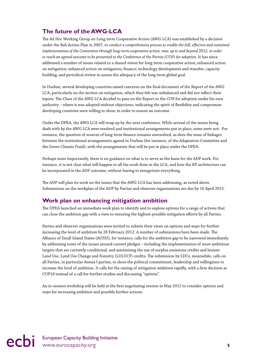#### <span id="page-6-0"></span>**The future of the AWG-LCA**

The Ad Hoc Working Group on Long-term Cooperative Action (AWG-LCA) was established by a decision under the Bali Action Plan in 2007, to *conduct a comprehensive process to enable the full, effective and sustained implementation of the Convention through long-term cooperative action, now, up to and beyond 2012, in order to reach an agreed outcome to be presented to the Conference of the Parties (COP) for adoption*. It has since addressed a number of issues related to a shared vision for long-term cooperative action; enhanced action on mitigation; enhanced action on mitigation; finance; technology development and transfer; capacity building; and periodical review to assess the adequacy of the long-term global goal.

In Durban, several developing countries raised concerns on the final document of the Report of the AWG LCA, particularly on the section on mitigation, which they felt was unbalanced and did not reflect their inputs. The Chair of the AWG LCA decided to pass on the Report to the COP for adoption under his own authority – where it was adopted without objections, indicating the spirit of flexibility and compromise developing countries were willing to show, in order to ensure an outcome.

Under the DPEA, the AWG LCA will wrap up by the next conference. While several of the issues being dealt with by the AWG LCA were resolved and institutional arrangements put in place, some were not. For instance, the question of sources of long-term finance remains unresolved, as does the issue of linkages between the institutional arrangements agreed in Durban (for instance, of the Adaptation Committee and the Green Climate Fund), with the arrangements that will be put in place under the DPEA.

Perhaps more importantly, there is no guidance on what is to serve as the basis for the ADP work. For instance, it is not clear what will happen to all the work done in the LCA, and how the KP architecture can be incorporated in the ADP outcome, without having to renegotiate everything.

The ADP will plan its work on the issues that the AWG-LCA has been addressing, as noted above. Submissions on the workplan of the ADP by Parties and observer organisations are due by 16 April 2012.

#### **Work plan on enhancing mitigation ambition**

The DPEA launched an immediate work plan to identify and to explore options for a range of actions that can close the ambition gap with a view to ensuring the highest possible mitigation efforts by all Parties.

Parties and observer organizations were invited to submit their views on options and ways for further increasing the level of ambition by 28 February 2012. A number of submissions have been made. The Alliance of Small Island States (AOSIS), for instance, calls for the ambition gap to be narrowed immediately by addressing some of the issues around current pledges – including the implementation of more ambitious targets that are currently conditional, and minimising the use of surplus emissions credits and lenient Land Use, Land Use Change and Forestry (LULUCF) credits. The submission by LDCs, meanwhile, calls on all Parties, in particular Annex I parties, to show the political commitment, leadership and willingness to increase the level of ambition. It calls for the raising of mitigation ambition rapidly, with a firm decision at COP18 instead of a call for further studies and discussing "options".

An in-session workshop will be held at the first negotiating session in May 2012 to consider options and ways for increasing ambition and possible further actions.

## ecbi European Capacity Building Initiative **5**<br> **Example 20** intervention of the entries of the entries of the entries of the entries of the entries of the entries of the entries of the entries of the entries of the entrie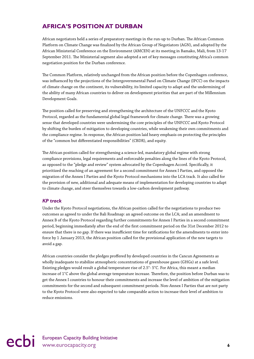#### <span id="page-7-0"></span>**Africa's position at Durban**

African negotiators held a series of preparatory meetings in the run-up to Durban. The African Common Platform on Climate Change was finalized by the African Group of Negotiators (AGN), and adopted by the African Ministerial Conference on the Environment (AMCEN) at its meeting in Bamako, Mali, from 13-17 September 2011. The Ministerial segment also adopted a set of key messages constituting Africa's common negotiation position for the Durban conference.

The Common Platform, relatively unchanged from the African position before the Copenhagen conference, was influenced by the projections of the Intergovernmental Panel on Climate Change (IPCC) on the impacts of climate change on the continent, its vulnerability, its limited capacity to adapt and the undermining of the ability of many African countries to deliver on development priorities that are part of the Millennium Development Goals.

The position called for preserving and strengthening the architecture of the UNFCCC and the Kyoto Protocol, regarded as the fundamental global legal framework for climate change. There was a growing sense that developed countries were undermining the core principles of the UNFCCC and Kyoto Protocol by shifting the burden of mitigation to developing countries, while weakening their own commitments and the compliance regime. In response, the African position laid heavy emphasis on protecting the principles of the "common but differentiated responsibilities" (CBDR), and equity.

The African position called for strengthening a science-led, mandatory global regime with strong compliance provisions, legal requirements and enforceable penalties along the lines of the Kyoto Protocol, as opposed to the "pledge and review" system advocated by the Copenhagen Accord. Specifically, it prioritized the reaching of an agreement for a second commitment for Annex I Parties, and opposed the migration of the Annex I Parties and the Kyoto Protocol mechanisms into the LCA track. It also called for the provision of new, additional and adequate means of implementation for developing countries to adapt to climate change, and steer themselves towards a low-carbon development pathway.

#### *KP track*

Under the Kyoto Protocol negotiations, the African position called for the negotiations to produce two outcomes as agreed to under the Bali Roadmap: an agreed outcome on the LCA; and an amendment to Annex B of the Kyoto Protocol regarding further commitments for Annex I Parties in a second commitment period, beginning immediately after the end of the first commitment period on the 31st December 2012 to ensure that there is no gap. If there was insufficient time for ratifications for the amendments to enter into force by 1 January 2013, the African position called for the provisional application of the new targets to avoid a gap.

African countries consider the pledges proffered by developed countries in the Cancun Agreements as wholly inadequate to stabilize atmospheric concentrations of greenhouse gases (GHGs) at a safe level. Existing pledges would result a global temperature rise of 2.5°- 5°C. For Africa, this meant a median increase of 1°C above the global average temperature increase. Therefore, the position before Durban was to get the Annex I countries to honour their commitments and increase the level of ambition of the mitigation commitments for the second and subsequent commitment periods. Non-Annex I Parties that are not party to the Kyoto Protocol were also expected to take comparable action to increase their level of ambition to reduce emissions.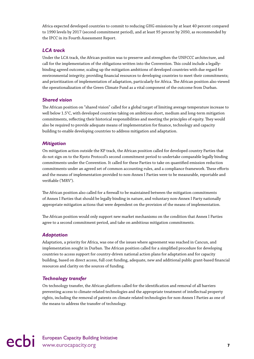Africa expected developed countries to commit to reducing GHG emissions by at least 40 percent compared to 1990 levels by 2017 (second commitment period), and at least 95 percent by 2050, as recommended by the IPCC in its Fourth Assessment Report.

#### *LCA track*

Under the LCA track, the African position was to preserve and strengthen the UNFCCC architecture, and call for the implementation of the obligations written into the Convention. This could include a legallybinding agreed outcome; scaling up the mitigation ambitions of developed countries with due regard for environmental integrity; providing financial resources to developing countries to meet their commitments; and prioritization of implementation of adaptation, particularly for Africa. The African position also viewed the operationalization of the Green Climate Fund as a vital component of the outcome from Durban.

#### *Shared vision*

The African position on "shared vision" called for a global target of limiting average temperature increase to well below 1.5°C, with developed countries taking on ambitious short, medium and long-term mitigation commitments, reflecting their historical responsibilities and meeting the principles of equity. They would also be required to provide adequate means of implementation for finance, technology and capacity building to enable developing countries to address mitigation and adaptation.

#### *Mitigation*

On mitigation action outside the KP track, the African position called for developed country Parties that do not sign on to the Kyoto Protocol's second commitment period to undertake comparable legally binding commitments under the Convention. It called for these Parties to take on quantified emission reduction commitments under an agreed set of common accounting rules, and a compliance framework. These efforts and the means of implementation provided to non-Annex I Parties were to be measurable, reportable and verifiable ('MRV').

The African position also called for a firewall to be maintained between the mitigation commitments of Annex I Parties that should be legally binding in nature, and voluntary non-Annex I Party nationally appropriate mitigation actions that were dependent on the provision of the means of implementation.

The African position would only support new market mechanisms on the condition that Annex I Parties agree to a second commitment period, and take on ambitious mitigation commitments.

#### *Adaptation*

Adaptation, a priority for Africa, was one of the issues where agreement was reached in Cancun, and implementation sought in Durban. The African position called for a simplified procedure for developing countries to access support for country-driven national action plans for adaptation and for capacity building, based on direct access, full cost funding, adequate, new and additional public grant-based financial resources and clarity on the sources of funding.

#### *Technology transfer*

On technology transfer, the African platform called for the identification and removal of all barriers preventing access to climate-related technologies and the appropriate treatment of intellectual property rights, including the removal of patents on climate related technologies for non-Annex I Parties as one of the means to address the transfer of technology.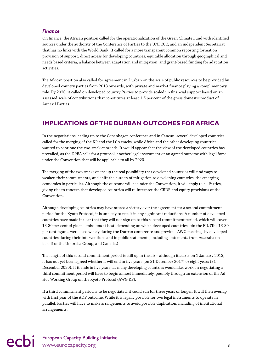#### <span id="page-9-0"></span>*Finance*

On finance, the African position called for the operationalization of the Green Climate Fund with identified sources under the authority of the Conference of Parties to the UNFCCC, and an independent Secretariat that has no links with the World Bank. It called for a more transparent common reporting format on provision of support, direct access for developing countries, equitable allocation through geographical and needs based criteria, a balance between adaptation and mitigation, and grant-based funding for adaptation activities.

The African position also called for agreement in Durban on the scale of public resources to be provided by developed country parties from 2013 onwards, with private and market finance playing a complimentary role. By 2020, it called on developed country Parties to provide scaled up financial support based on an assessed scale of contributions that constitutes at least 1.5 per cent of the gross domestic product of Annex I Parties.

#### **Implications ofthe Durban outcomes for Africa**

In the negotiations leading up to the Copenhagen conference and in Cancun, several developed countries called for the merging of the KP and the LCA tracks, while Africa and the other developing countries wanted to continue the two-track approach. It would appear that the view of the developed countries has prevailed, as the DPEA calls for a protocol, another legal instrument or an agreed outcome with legal force under the Convention that will be applicable to all by 2020.

The merging of the two tracks opens up the real possibility that developed countries will find ways to weaken their commitments, and shift the burden of mitigation to developing countries, the emerging economies in particular. Although the outcome will be under the Convention, it will apply to all Parties, giving rise to concern that developed countries will re-interpret the CBDR and equity provisions of the Convention.

Although developing countries may have scored a victory over the agreement for a second commitment period for the Kyoto Protocol, it is unlikely to result in any significant reductions. A number of developed countries have made it clear that they will not sign on to this second commitment period, which will cover 13-30 per cent of global emissions at best, depending on which developed countries join the EU. (The 13-30 per cent figures were used widely during the Durban conference and previous AWG meetings by developed countries during their interventions and in public statements, including statements from Australia on behalf of the Umbrella Group, and Canada.)

The length of this second commitment period is still up in the air – although it starts on 1 January 2013, it has not yet been agreed whether it will end in five years (on 31 December 2017) or eight years (31 December 2020). If it ends in five years, as many developing countries would like, work on negotiating a third commitment period will have to begin almost immediately, possibly through an extension of the Ad Hoc Working Group on the Kyoto Protocol (AWG KP).

If a third commitment period is to be negotiated, it could run for three years or longer. It will then overlap with first year of the ADP outcome. While it is legally possible for two legal instruments to operate in parallel, Parties will have to make arrangements to avoid possible duplication, including of institutional arrangements.

## ecbi European Capacity Building Initiative **8**<br> **8**